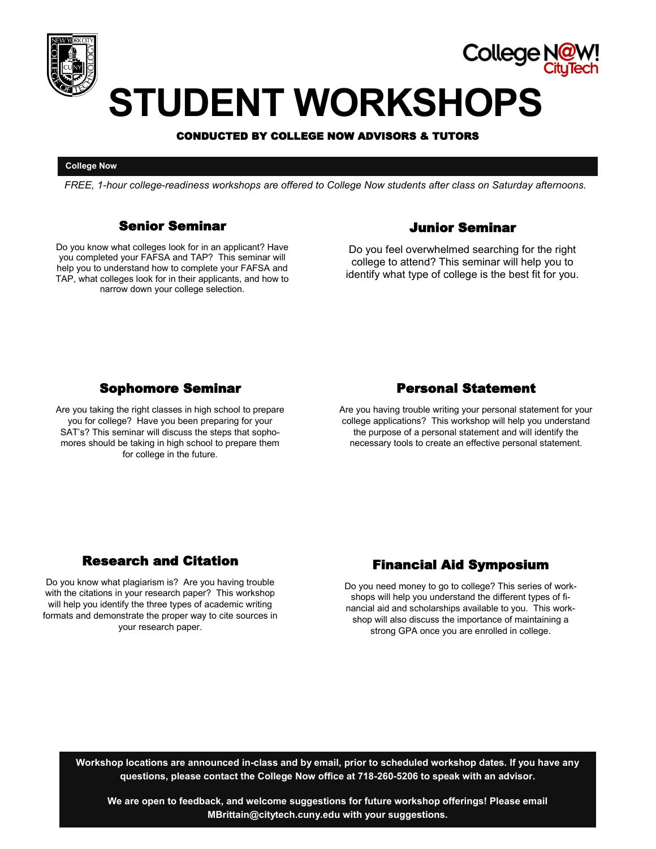

## College i

# **STUDENT WORKSHOPS**

#### CONDUCTED BY COLLEGE NOW ADVISORS & TUTORS

#### **College Now**

*FREE, 1-hour college-readiness workshops are offered to College Now students after class on Saturday afternoons.*

#### Senior Seminar

Do you know what colleges look for in an applicant? Have you completed your FAFSA and TAP? This seminar will help you to understand how to complete your FAFSA and TAP, what colleges look for in their applicants, and how to narrow down your college selection.

#### Junior Seminar

Do you feel overwhelmed searching for the right college to attend? This seminar will help you to identify what type of college is the best fit for you.

#### Sophomore Seminar

Are you taking the right classes in high school to prepare you for college? Have you been preparing for your SAT's? This seminar will discuss the steps that sophomores should be taking in high school to prepare them for college in the future.

#### Personal Statement

Are you having trouble writing your personal statement for your college applications? This workshop will help you understand the purpose of a personal statement and will identify the necessary tools to create an effective personal statement.

### Research and Citation

Do you know what plagiarism is? Are you having trouble with the citations in your research paper? This workshop will help you identify the three types of academic writing formats and demonstrate the proper way to cite sources in your research paper.

### Financial Aid Symposium

Do you need money to go to college? This series of workshops will help you understand the different types of financial aid and scholarships available to you. This workshop will also discuss the importance of maintaining a strong GPA once you are enrolled in college.

**Workshop locations are announced in-class and by email, prior to scheduled workshop dates. If you have any questions, please contact the College Now office at 718-260-5206 to speak with an advisor.**

**We are open to feedback, and welcome suggestions for future workshop offerings! Please email MBrittain@citytech.cuny.edu with your suggestions.**